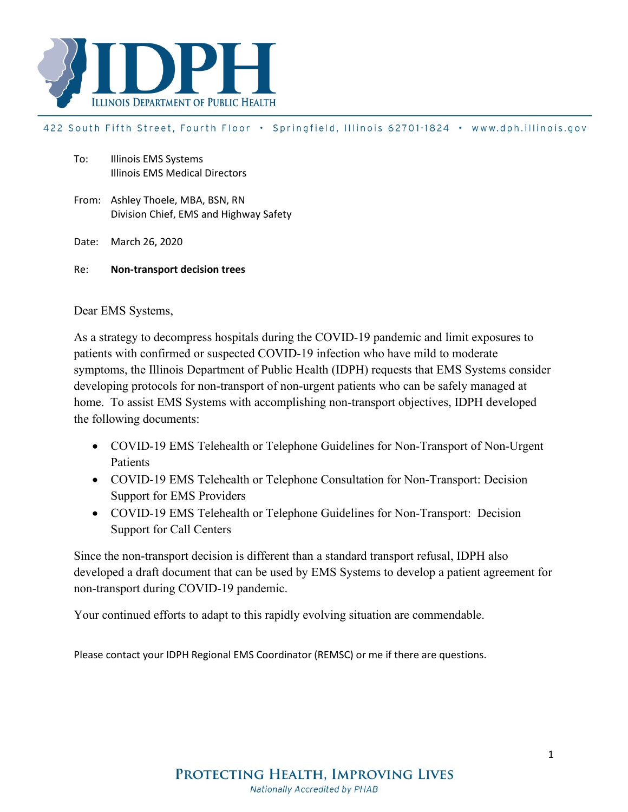

#### 422 South Fifth Street, Fourth Floor · Springfield, Illinois 62701-1824 · www.dph.illinois.gov

- To: Illinois EMS Systems Illinois EMS Medical Directors
- From: Ashley Thoele, MBA, BSN, RN Division Chief, EMS and Highway Safety

Date: March 26, 2020

Re: **Non-transport decision trees**

Dear EMS Systems,

As a strategy to decompress hospitals during the COVID-19 pandemic and limit exposures to patients with confirmed or suspected COVID-19 infection who have mild to moderate symptoms, the Illinois Department of Public Health (IDPH) requests that EMS Systems consider developing protocols for non-transport of non-urgent patients who can be safely managed at home. To assist EMS Systems with accomplishing non-transport objectives, IDPH developed the following documents:

- COVID-19 EMS Telehealth or Telephone Guidelines for Non-Transport of Non-Urgent Patients
- COVID-19 EMS Telehealth or Telephone Consultation for Non-Transport: Decision Support for EMS Providers
- COVID-19 EMS Telehealth or Telephone Guidelines for Non-Transport: Decision Support for Call Centers

Since the non-transport decision is different than a standard transport refusal, IDPH also developed a draft document that can be used by EMS Systems to develop a patient agreement for non-transport during COVID-19 pandemic.

Your continued efforts to adapt to this rapidly evolving situation are commendable.

Please contact your IDPH Regional EMS Coordinator (REMSC) or me if there are questions.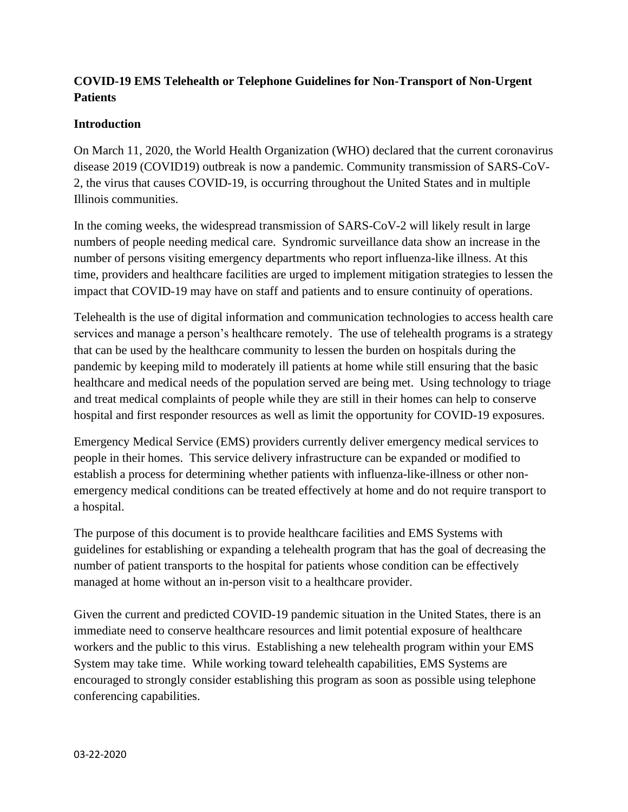## **COVID-19 EMS Telehealth or Telephone Guidelines for Non-Transport of Non-Urgent Patients**

### **Introduction**

On March 11, 2020, the World Health Organization (WHO) declared that the current coronavirus disease 2019 (COVID19) outbreak is now a pandemic. Community transmission of SARS-CoV-2, the virus that causes COVID-19, is occurring throughout the United States and in multiple Illinois communities.

In the coming weeks, the widespread transmission of SARS-CoV-2 will likely result in large numbers of people needing medical care. Syndromic surveillance data show an increase in the number of persons visiting emergency departments who report influenza-like illness. At this time, providers and healthcare facilities are urged to implement mitigation strategies to lessen the impact that COVID-19 may have on staff and patients and to ensure continuity of operations.

Telehealth is the use of digital information and communication technologies to access health care services and manage a person's healthcare remotely. The use of telehealth programs is a strategy that can be used by the healthcare community to lessen the burden on hospitals during the pandemic by keeping mild to moderately ill patients at home while still ensuring that the basic healthcare and medical needs of the population served are being met. Using technology to triage and treat medical complaints of people while they are still in their homes can help to conserve hospital and first responder resources as well as limit the opportunity for COVID-19 exposures.

Emergency Medical Service (EMS) providers currently deliver emergency medical services to people in their homes. This service delivery infrastructure can be expanded or modified to establish a process for determining whether patients with influenza-like-illness or other nonemergency medical conditions can be treated effectively at home and do not require transport to a hospital.

The purpose of this document is to provide healthcare facilities and EMS Systems with guidelines for establishing or expanding a telehealth program that has the goal of decreasing the number of patient transports to the hospital for patients whose condition can be effectively managed at home without an in-person visit to a healthcare provider.

Given the current and predicted COVID-19 pandemic situation in the United States, there is an immediate need to conserve healthcare resources and limit potential exposure of healthcare workers and the public to this virus. Establishing a new telehealth program within your EMS System may take time. While working toward telehealth capabilities, EMS Systems are encouraged to strongly consider establishing this program as soon as possible using telephone conferencing capabilities.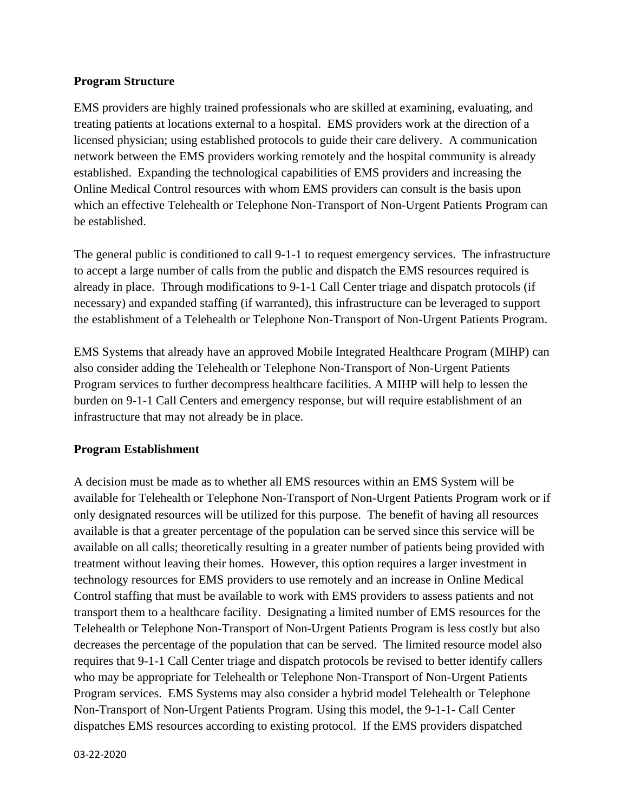#### **Program Structure**

EMS providers are highly trained professionals who are skilled at examining, evaluating, and treating patients at locations external to a hospital. EMS providers work at the direction of a licensed physician; using established protocols to guide their care delivery. A communication network between the EMS providers working remotely and the hospital community is already established. Expanding the technological capabilities of EMS providers and increasing the Online Medical Control resources with whom EMS providers can consult is the basis upon which an effective Telehealth or Telephone Non-Transport of Non-Urgent Patients Program can be established.

The general public is conditioned to call 9-1-1 to request emergency services. The infrastructure to accept a large number of calls from the public and dispatch the EMS resources required is already in place. Through modifications to 9-1-1 Call Center triage and dispatch protocols (if necessary) and expanded staffing (if warranted), this infrastructure can be leveraged to support the establishment of a Telehealth or Telephone Non-Transport of Non-Urgent Patients Program.

EMS Systems that already have an approved Mobile Integrated Healthcare Program (MIHP) can also consider adding the Telehealth or Telephone Non-Transport of Non-Urgent Patients Program services to further decompress healthcare facilities. A MIHP will help to lessen the burden on 9-1-1 Call Centers and emergency response, but will require establishment of an infrastructure that may not already be in place.

#### **Program Establishment**

A decision must be made as to whether all EMS resources within an EMS System will be available for Telehealth or Telephone Non-Transport of Non-Urgent Patients Program work or if only designated resources will be utilized for this purpose. The benefit of having all resources available is that a greater percentage of the population can be served since this service will be available on all calls; theoretically resulting in a greater number of patients being provided with treatment without leaving their homes. However, this option requires a larger investment in technology resources for EMS providers to use remotely and an increase in Online Medical Control staffing that must be available to work with EMS providers to assess patients and not transport them to a healthcare facility. Designating a limited number of EMS resources for the Telehealth or Telephone Non-Transport of Non-Urgent Patients Program is less costly but also decreases the percentage of the population that can be served. The limited resource model also requires that 9-1-1 Call Center triage and dispatch protocols be revised to better identify callers who may be appropriate for Telehealth or Telephone Non-Transport of Non-Urgent Patients Program services. EMS Systems may also consider a hybrid model Telehealth or Telephone Non-Transport of Non-Urgent Patients Program. Using this model, the 9-1-1- Call Center dispatches EMS resources according to existing protocol. If the EMS providers dispatched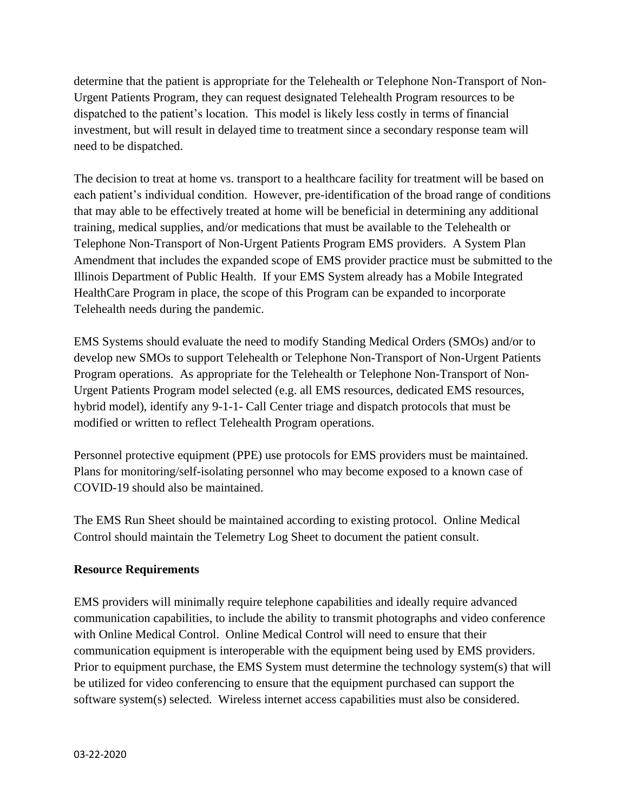determine that the patient is appropriate for the Telehealth or Telephone Non-Transport of Non-Urgent Patients Program, they can request designated Telehealth Program resources to be dispatched to the patient's location. This model is likely less costly in terms of financial investment, but will result in delayed time to treatment since a secondary response team will need to be dispatched.

The decision to treat at home vs. transport to a healthcare facility for treatment will be based on each patient's individual condition. However, pre-identification of the broad range of conditions that may able to be effectively treated at home will be beneficial in determining any additional training, medical supplies, and/or medications that must be available to the Telehealth or Telephone Non-Transport of Non-Urgent Patients Program EMS providers. A System Plan Amendment that includes the expanded scope of EMS provider practice must be submitted to the Illinois Department of Public Health. If your EMS System already has a Mobile Integrated HealthCare Program in place, the scope of this Program can be expanded to incorporate Telehealth needs during the pandemic.

EMS Systems should evaluate the need to modify Standing Medical Orders (SMOs) and/or to develop new SMOs to support Telehealth or Telephone Non-Transport of Non-Urgent Patients Program operations. As appropriate for the Telehealth or Telephone Non-Transport of Non-Urgent Patients Program model selected (e.g. all EMS resources, dedicated EMS resources, hybrid model), identify any 9-1-1- Call Center triage and dispatch protocols that must be modified or written to reflect Telehealth Program operations.

Personnel protective equipment (PPE) use protocols for EMS providers must be maintained. Plans for monitoring/self-isolating personnel who may become exposed to a known case of COVID-19 should also be maintained.

The EMS Run Sheet should be maintained according to existing protocol. Online Medical Control should maintain the Telemetry Log Sheet to document the patient consult.

### **Resource Requirements**

EMS providers will minimally require telephone capabilities and ideally require advanced communication capabilities, to include the ability to transmit photographs and video conference with Online Medical Control. Online Medical Control will need to ensure that their communication equipment is interoperable with the equipment being used by EMS providers. Prior to equipment purchase, the EMS System must determine the technology system(s) that will be utilized for video conferencing to ensure that the equipment purchased can support the software system(s) selected. Wireless internet access capabilities must also be considered.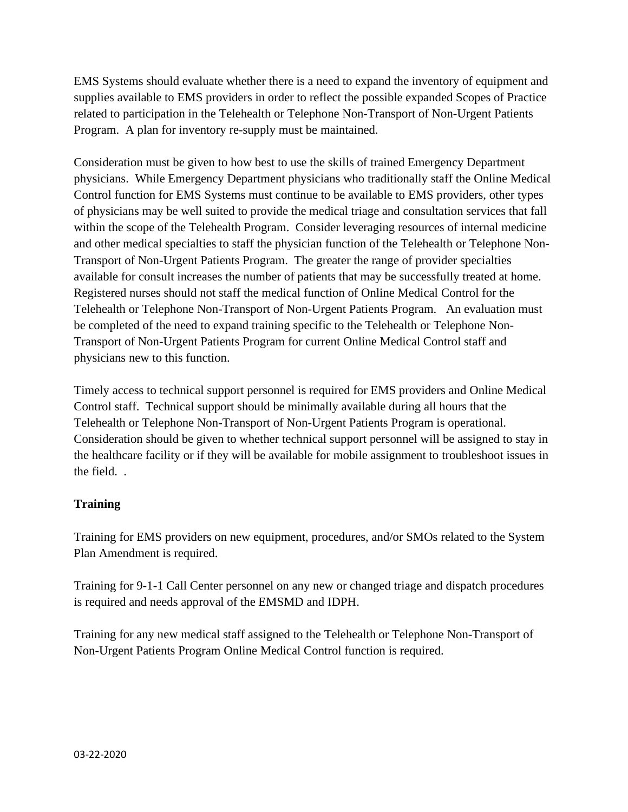EMS Systems should evaluate whether there is a need to expand the inventory of equipment and supplies available to EMS providers in order to reflect the possible expanded Scopes of Practice related to participation in the Telehealth or Telephone Non-Transport of Non-Urgent Patients Program. A plan for inventory re-supply must be maintained.

Consideration must be given to how best to use the skills of trained Emergency Department physicians. While Emergency Department physicians who traditionally staff the Online Medical Control function for EMS Systems must continue to be available to EMS providers, other types of physicians may be well suited to provide the medical triage and consultation services that fall within the scope of the Telehealth Program. Consider leveraging resources of internal medicine and other medical specialties to staff the physician function of the Telehealth or Telephone Non-Transport of Non-Urgent Patients Program. The greater the range of provider specialties available for consult increases the number of patients that may be successfully treated at home. Registered nurses should not staff the medical function of Online Medical Control for the Telehealth or Telephone Non-Transport of Non-Urgent Patients Program. An evaluation must be completed of the need to expand training specific to the Telehealth or Telephone Non-Transport of Non-Urgent Patients Program for current Online Medical Control staff and physicians new to this function.

Timely access to technical support personnel is required for EMS providers and Online Medical Control staff. Technical support should be minimally available during all hours that the Telehealth or Telephone Non-Transport of Non-Urgent Patients Program is operational. Consideration should be given to whether technical support personnel will be assigned to stay in the healthcare facility or if they will be available for mobile assignment to troubleshoot issues in the field. .

## **Training**

Training for EMS providers on new equipment, procedures, and/or SMOs related to the System Plan Amendment is required.

Training for 9-1-1 Call Center personnel on any new or changed triage and dispatch procedures is required and needs approval of the EMSMD and IDPH.

Training for any new medical staff assigned to the Telehealth or Telephone Non-Transport of Non-Urgent Patients Program Online Medical Control function is required.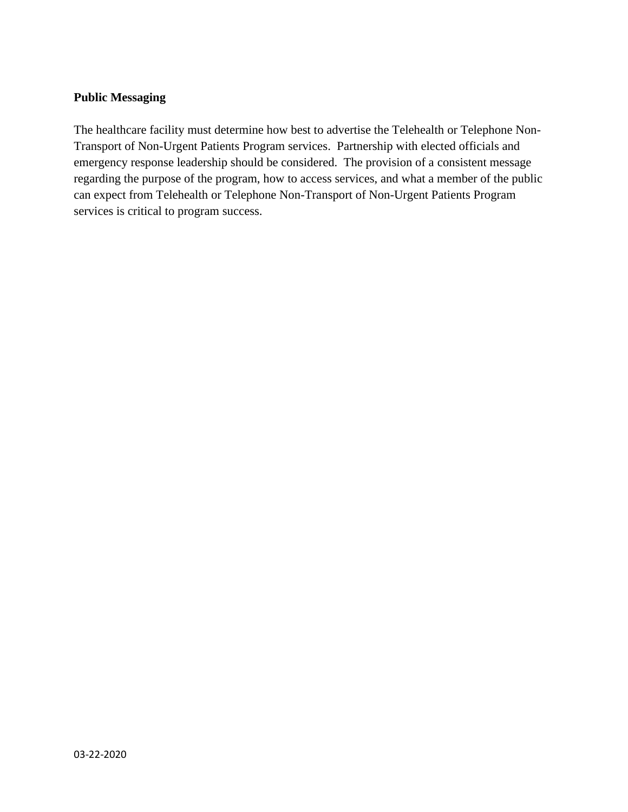### **Public Messaging**

The healthcare facility must determine how best to advertise the Telehealth or Telephone Non-Transport of Non-Urgent Patients Program services. Partnership with elected officials and emergency response leadership should be considered. The provision of a consistent message regarding the purpose of the program, how to access services, and what a member of the public can expect from Telehealth or Telephone Non-Transport of Non-Urgent Patients Program services is critical to program success.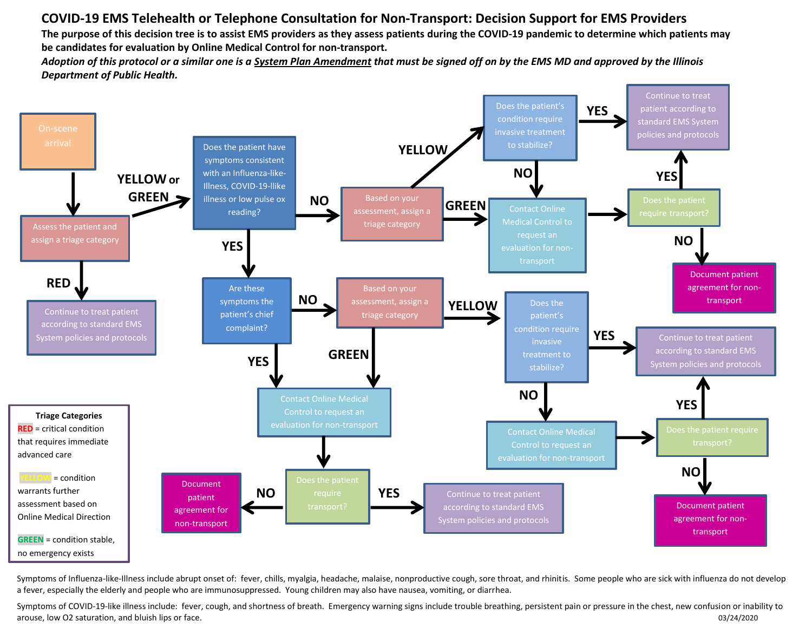# **COVID-19 EMS Telehealth or Telephone Consultation for Non-Transport: Decision Support for EMS Providers**

**The purpose of this decision tree is to assist EMS providers as they assess patients during the COVID-19 pandemic to determine which patients may be candidates for evaluation by Online Medical Control for non-transport.**

*Adoption of this protocol or a similar one is a System Plan Amendment that must be signed off on by the EMS MD and approved by the Illinois Department of Public Health.*



Symptoms of Influenza-like-Illness include abrupt onset of: fever, chills, myalgia, headache, malaise, nonproductive cough, sore throat, and rhinitis. Some people who are sick with influenza do not develop a fever, especially the elderly and people who are immunosuppressed. Young children may also have nausea, vomiting, or diarrhea.

Symptoms of COVID-19-like illness include: fever, cough, and shortness of breath. Emergency warning signs include trouble breathing, persistent pain or pressure in the chest, new confusion or inability to arouse, low O2 saturation, and bluish lips or face.  $03/24/2020$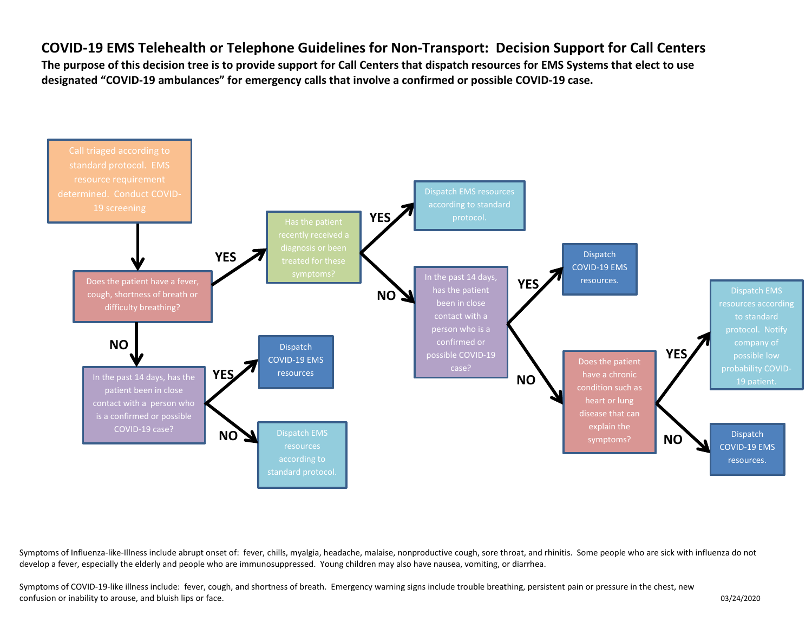# **COVID-19 EMS Telehealth or Telephone Guidelines for Non-Transport: Decision Support for Call Centers**

**The purpose of this decision tree is to provide support for Call Centers that dispatch resources for EMS Systems that elect to use designated "COVID-19 ambulances" for emergency calls that involve a confirmed or possible COVID-19 case.** 



Symptoms of Influenza-like-Illness include abrupt onset of: fever, chills, myalgia, headache, malaise, nonproductive cough, sore throat, and rhinitis. Some people who are sick with influenza do not develop a fever, especially the elderly and people who are immunosuppressed. Young children may also have nausea, vomiting, or diarrhea.